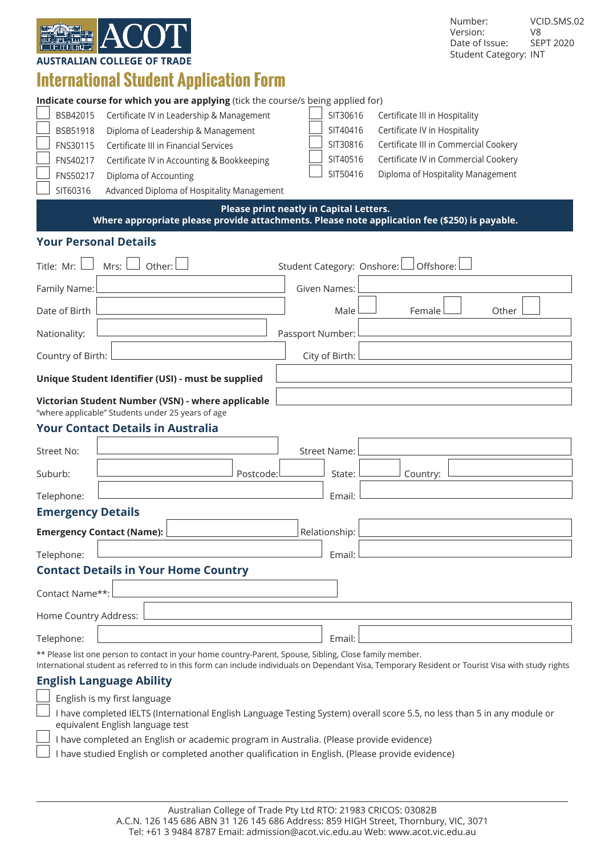

Number: VCID.SMS.02<br>Version: V8 Version: V8<br>Date of Issue: SEPT 2020 Date of Issue: Student Category: INT

|                                                                                                                                          | International Student Application Form                                                                  |                            |                                       |  |  |  |
|------------------------------------------------------------------------------------------------------------------------------------------|---------------------------------------------------------------------------------------------------------|----------------------------|---------------------------------------|--|--|--|
|                                                                                                                                          | Indicate course for which you are applying (tick the course/s being applied for)                        |                            |                                       |  |  |  |
| BSB42015                                                                                                                                 | Certificate IV in Leadership & Management                                                               | SIT30616                   | Certificate III in Hospitality        |  |  |  |
| BSB51918                                                                                                                                 | Diploma of Leadership & Management                                                                      | SIT40416                   | Certificate IV in Hospitality         |  |  |  |
| FNS30115                                                                                                                                 | Certificate III in Financial Services                                                                   | SIT30816                   | Certificate III in Commercial Cookery |  |  |  |
| FNS40217                                                                                                                                 | Certificate IV in Accounting & Bookkeeping                                                              | SIT40516                   | Certificate IV in Commercial Cookery  |  |  |  |
| FNS50217                                                                                                                                 | Diploma of Accounting                                                                                   | SIT50416                   | Diploma of Hospitality Management     |  |  |  |
| SIT60316                                                                                                                                 | Advanced Diploma of Hospitality Management                                                              |                            |                                       |  |  |  |
| Please print neatly in Capital Letters.<br>Where appropriate please provide attachments. Please note application fee (\$250) is payable. |                                                                                                         |                            |                                       |  |  |  |
| <b>Your Personal Details</b>                                                                                                             |                                                                                                         |                            |                                       |  |  |  |
| Title: Mr:                                                                                                                               | Other:<br>Mrs:                                                                                          | Student Category: Onshore: | Offshore:                             |  |  |  |
|                                                                                                                                          |                                                                                                         |                            |                                       |  |  |  |
| Family Name:                                                                                                                             |                                                                                                         | <b>Given Names:</b>        |                                       |  |  |  |
| Date of Birth                                                                                                                            |                                                                                                         | Male                       | Female<br>Other                       |  |  |  |
| Nationality:                                                                                                                             |                                                                                                         | Passport Number:           |                                       |  |  |  |
| Country of Birth:                                                                                                                        |                                                                                                         | City of Birth:             |                                       |  |  |  |
| Unique Student Identifier (USI) - must be supplied                                                                                       |                                                                                                         |                            |                                       |  |  |  |
| Victorian Student Number (VSN) - where applicable                                                                                        |                                                                                                         |                            |                                       |  |  |  |
|                                                                                                                                          | "where applicable" Students under 25 years of age                                                       |                            |                                       |  |  |  |
|                                                                                                                                          | <b>Your Contact Details in Australia</b>                                                                |                            |                                       |  |  |  |
| Street No:                                                                                                                               |                                                                                                         | <b>Street Name:</b>        |                                       |  |  |  |
| Suburb:                                                                                                                                  | Postcode:                                                                                               | State:                     | Country:                              |  |  |  |
| Telephone:                                                                                                                               |                                                                                                         | Email:                     |                                       |  |  |  |
| <b>Emergency Details</b>                                                                                                                 |                                                                                                         |                            |                                       |  |  |  |
| <b>Emergency Contact (Name):</b>                                                                                                         |                                                                                                         | Relationship:              |                                       |  |  |  |
| Telephone:                                                                                                                               |                                                                                                         | Email:                     |                                       |  |  |  |
|                                                                                                                                          | <b>Contact Details in Your Home Country</b>                                                             |                            |                                       |  |  |  |
| Contact Name**:                                                                                                                          |                                                                                                         |                            |                                       |  |  |  |
| Home Country Address:                                                                                                                    |                                                                                                         |                            |                                       |  |  |  |
| Telephone:                                                                                                                               |                                                                                                         | Email:                     |                                       |  |  |  |
|                                                                                                                                          | ** Please list one person to contact in your home country-Parent, Spouse, Sibling, Close family member. |                            |                                       |  |  |  |

International student as referred to in this form can include individuals on Dependant Visa, Temporary Resident or Tourist Visa with study rights

# **English Language Ability**

English is my first language

 I have completed IELTS (International English Language Testing System) overall score 5.5, no less than 5 in any module or equivalent English language test

 I have completed an English or academic program in Australia. (Please provide evidence)

 I have studied English or completed another qualification in English. (Please provide evidence)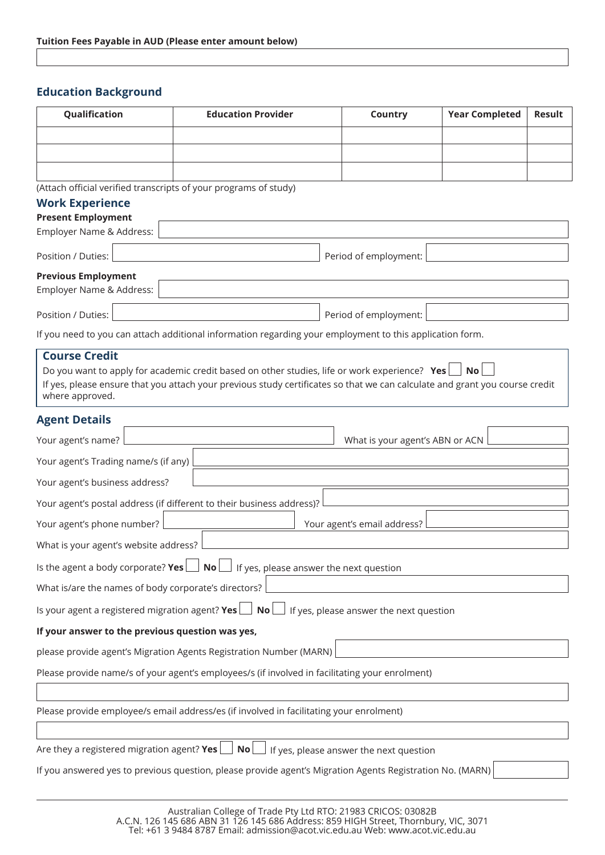# **Education Background**

| Qualification                                                    | <b>Education Provider</b>                                                                                                   | Country                                 | <b>Year Completed</b> | <b>Result</b> |
|------------------------------------------------------------------|-----------------------------------------------------------------------------------------------------------------------------|-----------------------------------------|-----------------------|---------------|
|                                                                  |                                                                                                                             |                                         |                       |               |
|                                                                  |                                                                                                                             |                                         |                       |               |
|                                                                  |                                                                                                                             |                                         |                       |               |
| (Attach official verified transcripts of your programs of study) |                                                                                                                             |                                         |                       |               |
| <b>Work Experience</b><br><b>Present Employment</b>              |                                                                                                                             |                                         |                       |               |
| Employer Name & Address:                                         |                                                                                                                             |                                         |                       |               |
| Position / Duties:                                               |                                                                                                                             | Period of employment:                   |                       |               |
| <b>Previous Employment</b>                                       |                                                                                                                             |                                         |                       |               |
| Employer Name & Address:                                         |                                                                                                                             |                                         |                       |               |
| Position / Duties:                                               |                                                                                                                             | Period of employment:                   |                       |               |
|                                                                  | If you need to you can attach additional information regarding your employment to this application form.                    |                                         |                       |               |
| <b>Course Credit</b>                                             |                                                                                                                             |                                         |                       |               |
|                                                                  | Do you want to apply for academic credit based on other studies, life or work experience? Yes                               |                                         | No                    |               |
| where approved.                                                  | If yes, please ensure that you attach your previous study certificates so that we can calculate and grant you course credit |                                         |                       |               |
| <b>Agent Details</b>                                             |                                                                                                                             |                                         |                       |               |
| Your agent's name?                                               |                                                                                                                             | What is your agent's ABN or ACN         |                       |               |
| Your agent's Trading name/s (if any)                             |                                                                                                                             |                                         |                       |               |
| Your agent's business address?                                   |                                                                                                                             |                                         |                       |               |
|                                                                  | Your agent's postal address (if different to their business address)?                                                       |                                         |                       |               |
| Your agent's phone number?                                       |                                                                                                                             | Your agent's email address?             |                       |               |
| What is your agent's website address?                            |                                                                                                                             |                                         |                       |               |
| Is the agent a body corporate? Yes                               | If yes, please answer the next question<br>$\blacksquare$ No $\blacksquare$                                                 |                                         |                       |               |
| What is/are the names of body corporate's directors?             |                                                                                                                             |                                         |                       |               |
| Is your agent a registered migration agent? Yes $\Box$ No        |                                                                                                                             | If yes, please answer the next question |                       |               |
| If your answer to the previous question was yes,                 |                                                                                                                             |                                         |                       |               |
|                                                                  | please provide agent's Migration Agents Registration Number (MARN)                                                          |                                         |                       |               |
|                                                                  | Please provide name/s of your agent's employees/s (if involved in facilitating your enrolment)                              |                                         |                       |               |
|                                                                  |                                                                                                                             |                                         |                       |               |
|                                                                  | Please provide employee/s email address/es (if involved in facilitating your enrolment)                                     |                                         |                       |               |
|                                                                  |                                                                                                                             |                                         |                       |               |
| Are they a registered migration agent? Yes $\Box$ No             |                                                                                                                             | If yes, please answer the next question |                       |               |
|                                                                  | If you answered yes to previous question, please provide agent's Migration Agents Registration No. (MARN)                   |                                         |                       |               |
|                                                                  |                                                                                                                             |                                         |                       |               |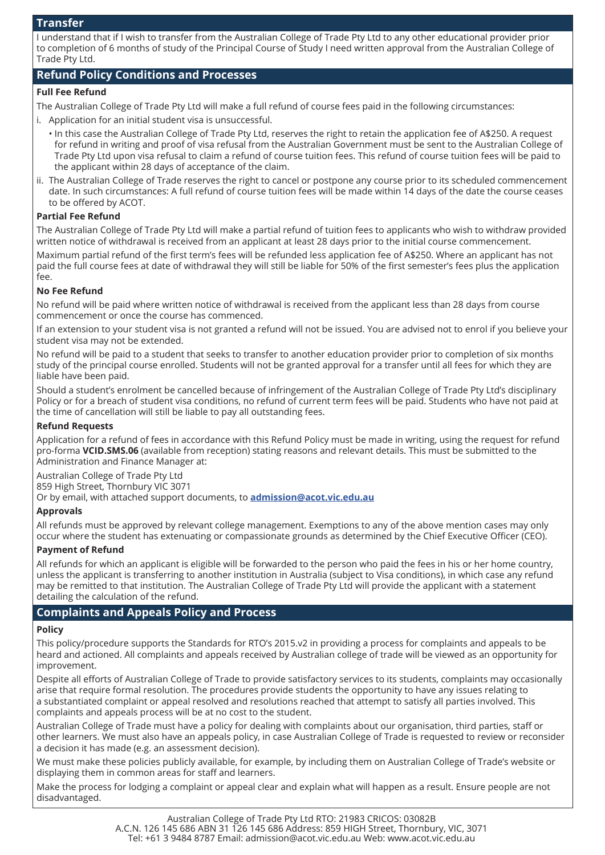## **Transfer**

I understand that if I wish to transfer from the Australian College of Trade Pty Ltd to any other educational provider prior to completion of 6 months of study of the Principal Course of Study I need written approval from the Australian College of Trade Pty Ltd.

# **Refund Policy Conditions and Processes**

## **Full Fee Refund**

The Australian College of Trade Pty Ltd will make a full refund of course fees paid in the following circumstances:

- i. Application for an initial student visa is unsuccessful.
	- In this case the Australian College of Trade Pty Ltd, reserves the right to retain the application fee of A\$250. A request for refund in writing and proof of visa refusal from the Australian Government must be sent to the Australian College of Trade Pty Ltd upon visa refusal to claim a refund of course tuition fees. This refund of course tuition fees will be paid to the applicant within 28 days of acceptance of the claim.
- ii. The Australian College of Trade reserves the right to cancel or postpone any course prior to its scheduled commencement date. In such circumstances: A full refund of course tuition fees will be made within 14 days of the date the course ceases to be offered by ACOT.

## **Partial Fee Refund**

The Australian College of Trade Pty Ltd will make a partial refund of tuition fees to applicants who wish to withdraw provided written notice of withdrawal is received from an applicant at least 28 days prior to the initial course commencement.

Maximum partial refund of the first term's fees will be refunded less application fee of A\$250. Where an applicant has not paid the full course fees at date of withdrawal they will still be liable for 50% of the first semester's fees plus the application fee.

## **No Fee Refund**

No refund will be paid where written notice of withdrawal is received from the applicant less than 28 days from course commencement or once the course has commenced.

If an extension to your student visa is not granted a refund will not be issued. You are advised not to enrol if you believe your student visa may not be extended.

No refund will be paid to a student that seeks to transfer to another education provider prior to completion of six months study of the principal course enrolled. Students will not be granted approval for a transfer until all fees for which they are liable have been paid.

Should a student's enrolment be cancelled because of infringement of the Australian College of Trade Pty Ltd's disciplinary Policy or for a breach of student visa conditions, no refund of current term fees will be paid. Students who have not paid at the time of cancellation will still be liable to pay all outstanding fees.

#### **Refund Requests**

Application for a refund of fees in accordance with this Refund Policy must be made in writing, using the request for refund pro-forma **VCID.SMS.06** (available from reception) stating reasons and relevant details. This must be submitted to the Administration and Finance Manager at:

Australian College of Trade Pty Ltd 859 High Street, Thornbury VIC 3071

Or by email, with attached support documents, to **admission@acot.vic.edu.au**

## **Approvals**

All refunds must be approved by relevant college management. Exemptions to any of the above mention cases may only occur where the student has extenuating or compassionate grounds as determined by the Chief Executive Officer (CEO).

### **Payment of Refund**

All refunds for which an applicant is eligible will be forwarded to the person who paid the fees in his or her home country, unless the applicant is transferring to another institution in Australia (subject to Visa conditions), in which case any refund may be remitted to that institution. The Australian College of Trade Pty Ltd will provide the applicant with a statement detailing the calculation of the refund.

## **Complaints and Appeals Policy and Process**

# **Policy**

This policy/procedure supports the Standards for RTO's 2015.v2 in providing a process for complaints and appeals to be heard and actioned. All complaints and appeals received by Australian college of trade will be viewed as an opportunity for improvement.

Despite all efforts of Australian College of Trade to provide satisfactory services to its students, complaints may occasionally arise that require formal resolution. The procedures provide students the opportunity to have any issues relating to a substantiated complaint or appeal resolved and resolutions reached that attempt to satisfy all parties involved. This complaints and appeals process will be at no cost to the student.

Australian College of Trade must have a policy for dealing with complaints about our organisation, third parties, staff or other learners. We must also have an appeals policy, in case Australian College of Trade is requested to review or reconsider a decision it has made (e.g. an assessment decision).

We must make these policies publicly available, for example, by including them on Australian College of Trade's website or displaying them in common areas for staff and learners.

Make the process for lodging a complaint or appeal clear and explain what will happen as a result. Ensure people are not disadvantaged.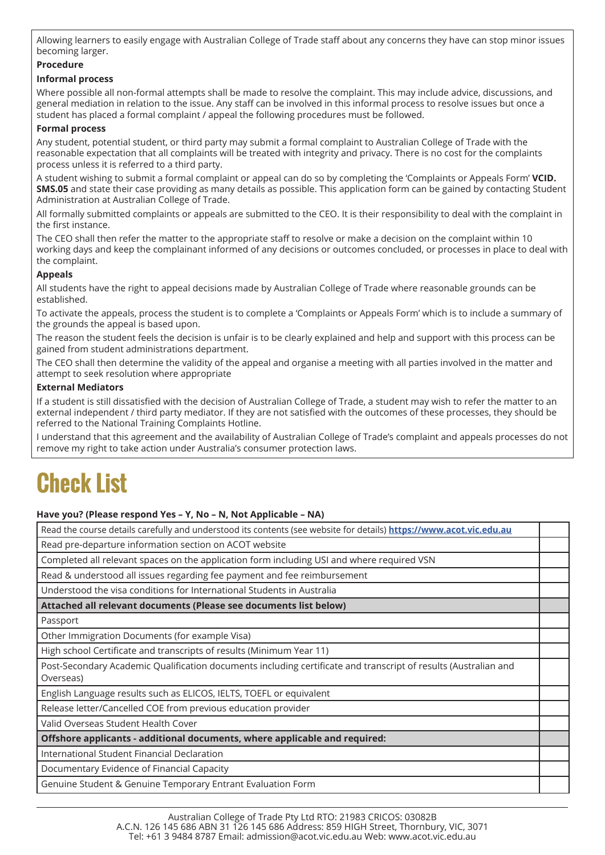Allowing learners to easily engage with Australian College of Trade staff about any concerns they have can stop minor issues becoming larger.

## **Procedure**

## **Informal process**

Where possible all non-formal attempts shall be made to resolve the complaint. This may include advice, discussions, and general mediation in relation to the issue. Any staff can be involved in this informal process to resolve issues but once a student has placed a formal complaint / appeal the following procedures must be followed.

## **Formal process**

Any student, potential student, or third party may submit a formal complaint to Australian College of Trade with the reasonable expectation that all complaints will be treated with integrity and privacy. There is no cost for the complaints process unless it is referred to a third party.

A student wishing to submit a formal complaint or appeal can do so by completing the 'Complaints or Appeals Form' **VCID. SMS.05** and state their case providing as many details as possible. This application form can be gained by contacting Student Administration at Australian College of Trade.

All formally submitted complaints or appeals are submitted to the CEO. It is their responsibility to deal with the complaint in the first instance.

The CEO shall then refer the matter to the appropriate staff to resolve or make a decision on the complaint within 10 working days and keep the complainant informed of any decisions or outcomes concluded, or processes in place to deal with the complaint.

## **Appeals**

All students have the right to appeal decisions made by Australian College of Trade where reasonable grounds can be established.

To activate the appeals, process the student is to complete a 'Complaints or Appeals Form' which is to include a summary of the grounds the appeal is based upon.

The reason the student feels the decision is unfair is to be clearly explained and help and support with this process can be gained from student administrations department.

The CEO shall then determine the validity of the appeal and organise a meeting with all parties involved in the matter and attempt to seek resolution where appropriate

### **External Mediators**

If a student is still dissatisfied with the decision of Australian College of Trade, a student may wish to refer the matter to an external independent / third party mediator. If they are not satisfied with the outcomes of these processes, they should be referred to the National Training Complaints Hotline.

I understand that this agreement and the availability of Australian College of Trade's complaint and appeals processes do not remove my right to take action under Australia's consumer protection laws.

# **Check List**

### **Have you? (Please respond Yes – Y, No – N, Not Applicable – NA)**

| Read the course details carefully and understood its contents (see website for details) https://www.acot.vic.edu.au |  |  |  |
|---------------------------------------------------------------------------------------------------------------------|--|--|--|
| Read pre-departure information section on ACOT website                                                              |  |  |  |
| Completed all relevant spaces on the application form including USI and where required VSN                          |  |  |  |
| Read & understood all issues regarding fee payment and fee reimbursement                                            |  |  |  |
| Understood the visa conditions for International Students in Australia                                              |  |  |  |
| Attached all relevant documents (Please see documents list below)                                                   |  |  |  |
| Passport                                                                                                            |  |  |  |
| Other Immigration Documents (for example Visa)                                                                      |  |  |  |
| High school Certificate and transcripts of results (Minimum Year 11)                                                |  |  |  |
| Post-Secondary Academic Qualification documents including certificate and transcript of results (Australian and     |  |  |  |
| Overseas)                                                                                                           |  |  |  |
| English Language results such as ELICOS, IELTS, TOEFL or equivalent                                                 |  |  |  |
| Release letter/Cancelled COE from previous education provider                                                       |  |  |  |
| Valid Overseas Student Health Cover                                                                                 |  |  |  |
| Offshore applicants - additional documents, where applicable and required:                                          |  |  |  |
| International Student Financial Declaration                                                                         |  |  |  |
| Documentary Evidence of Financial Capacity                                                                          |  |  |  |
| Genuine Student & Genuine Temporary Entrant Evaluation Form                                                         |  |  |  |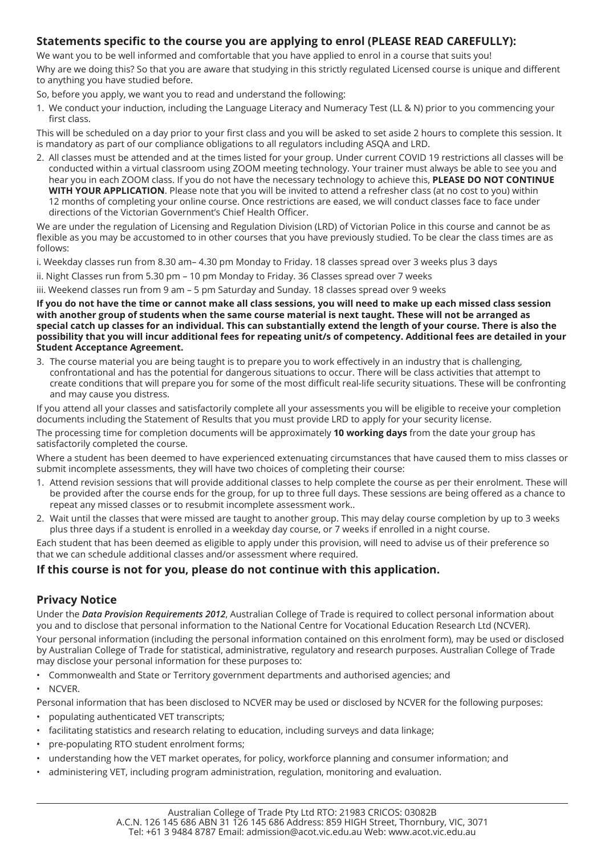# **Statements specific to the course you are applying to enrol (PLEASE READ CAREFULLY):**

We want you to be well informed and comfortable that you have applied to enrol in a course that suits you!

Why are we doing this? So that you are aware that studying in this strictly regulated Licensed course is unique and different to anything you have studied before.

So, before you apply, we want you to read and understand the following:

1. We conduct your induction, including the Language Literacy and Numeracy Test (LL & N) prior to you commencing your first class.

This will be scheduled on a day prior to your first class and you will be asked to set aside 2 hours to complete this session. It is mandatory as part of our compliance obligations to all regulators including ASQA and LRD.

2. All classes must be attended and at the times listed for your group. Under current COVID 19 restrictions all classes will be conducted within a virtual classroom using ZOOM meeting technology. Your trainer must always be able to see you and hear you in each ZOOM class. If you do not have the necessary technology to achieve this, **PLEASE DO NOT CONTINUE WITH YOUR APPLICATION**. Please note that you will be invited to attend a refresher class (at no cost to you) within 12 months of completing your online course. Once restrictions are eased, we will conduct classes face to face under directions of the Victorian Government's Chief Health Officer.

We are under the regulation of Licensing and Regulation Division (LRD) of Victorian Police in this course and cannot be as flexible as you may be accustomed to in other courses that you have previously studied. To be clear the class times are as follows:

i. Weekday classes run from 8.30 am– 4.30 pm Monday to Friday. 18 classes spread over 3 weeks plus 3 days

ii. Night Classes run from 5.30 pm – 10 pm Monday to Friday. 36 Classes spread over 7 weeks

iii. Weekend classes run from 9 am – 5 pm Saturday and Sunday. 18 classes spread over 9 weeks

**If you do not have the time or cannot make all class sessions, you will need to make up each missed class session with another group of students when the same course material is next taught. These will not be arranged as special catch up classes for an individual. This can substantially extend the length of your course. There is also the possibility that you will incur additional fees for repeating unit/s of competency. Additional fees are detailed in your Student Acceptance Agreement.** 

3. The course material you are being taught is to prepare you to work effectively in an industry that is challenging, confrontational and has the potential for dangerous situations to occur. There will be class activities that attempt to create conditions that will prepare you for some of the most difficult real-life security situations. These will be confronting and may cause you distress.

If you attend all your classes and satisfactorily complete all your assessments you will be eligible to receive your completion documents including the Statement of Results that you must provide LRD to apply for your security license.

The processing time for completion documents will be approximately **10 working days** from the date your group has satisfactorily completed the course.

Where a student has been deemed to have experienced extenuating circumstances that have caused them to miss classes or submit incomplete assessments, they will have two choices of completing their course:

- 1. Attend revision sessions that will provide additional classes to help complete the course as per their enrolment. These will be provided after the course ends for the group, for up to three full days. These sessions are being offered as a chance to repeat any missed classes or to resubmit incomplete assessment work..
- 2. Wait until the classes that were missed are taught to another group. This may delay course completion by up to 3 weeks plus three days if a student is enrolled in a weekday day course, or 7 weeks if enrolled in a night course.

Each student that has been deemed as eligible to apply under this provision, will need to advise us of their preference so that we can schedule additional classes and/or assessment where required.

# **If this course is not for you, please do not continue with this application.**

# **Privacy Notice**

Under the *Data Provision Requirements 2012*, Australian College of Trade is required to collect personal information about you and to disclose that personal information to the National Centre for Vocational Education Research Ltd (NCVER). Your personal information (including the personal information contained on this enrolment form), may be used or disclosed by Australian College of Trade for statistical, administrative, regulatory and research purposes. Australian College of Trade may disclose your personal information for these purposes to:

- • Commonwealth and State or Territory government departments and authorised agencies; and
- • NCVER.

Personal information that has been disclosed to NCVER may be used or disclosed by NCVER for the following purposes:

- populating authenticated VET transcripts;
- facilitating statistics and research relating to education, including surveys and data linkage;
- pre-populating RTO student enrolment forms;
- understanding how the VET market operates, for policy, workforce planning and consumer information; and
- administering VET, including program administration, regulation, monitoring and evaluation.